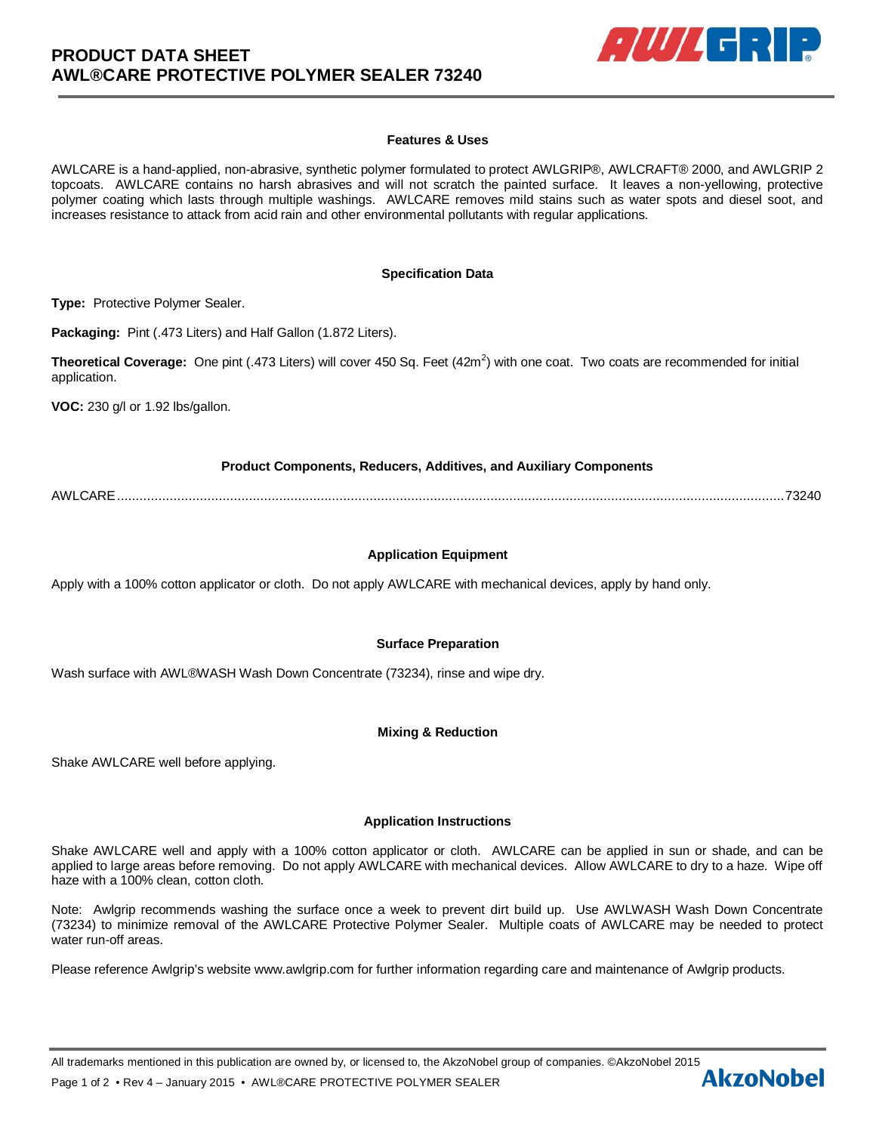

### **Features & Uses**

AWLCARE is a hand-applied, non-abrasive, synthetic polymer formulated to protect AWLGRIP®, AWLCRAFT® 2000, and AWLGRIP 2 topcoats. AWLCARE contains no harsh abrasives and will not scratch the painted surface. It leaves a non-yellowing, protective polymer coating which lasts through multiple washings. AWLCARE removes mild stains such as water spots and diesel soot, and increases resistance to attack from acid rain and other environmental pollutants with regular applications.

#### **Specification Data**

**Type:** Protective Polymer Sealer.

**Packaging:** Pint (.473 Liters) and Half Gallon (1.872 Liters).

**Theoretical Coverage:** One pint (.473 Liters) will cover 450 Sq. Feet (42m<sup>2</sup>) with one coat. Two coats are recommended for initial application.

**VOC:** 230 g/l or 1.92 lbs/gallon.

### **Product Components, Reducers, Additives, and Auxiliary Components**

AWLCARE ................................................................................................................................................................................. 73240

# **Application Equipment**

Apply with a 100% cotton applicator or cloth. Do not apply AWLCARE with mechanical devices, apply by hand only.

### **Surface Preparation**

Wash surface with AWL®WASH Wash Down Concentrate (73234), rinse and wipe dry.

### **Mixing & Reduction**

Shake AWLCARE well before applying.

### **Application Instructions**

Shake AWLCARE well and apply with a 100% cotton applicator or cloth. AWLCARE can be applied in sun or shade, and can be applied to large areas before removing. Do not apply AWLCARE with mechanical devices. Allow AWLCARE to dry to a haze. Wipe off haze with a 100% clean, cotton cloth.

Note: Awlgrip recommends washing the surface once a week to prevent dirt build up. Use AWLWASH Wash Down Concentrate (73234) to minimize removal of the AWLCARE Protective Polymer Sealer. Multiple coats of AWLCARE may be needed to protect water run-off areas.

Please reference Awlgrip's website www.awlgrip.com for further information regarding care and maintenance of Awlgrip products.